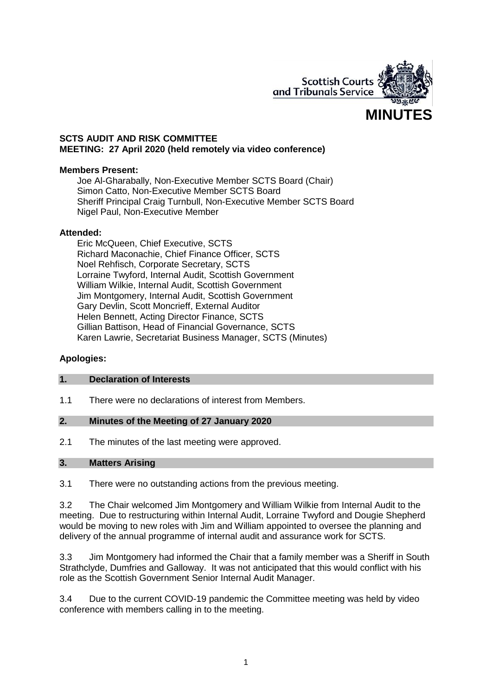

### **SCTS AUDIT AND RISK COMMITTEE MEETING: 27 April 2020 (held remotely via video conference)**

### **Members Present:**

Joe Al-Gharabally, Non-Executive Member SCTS Board (Chair) Simon Catto, Non-Executive Member SCTS Board Sheriff Principal Craig Turnbull, Non-Executive Member SCTS Board Nigel Paul, Non-Executive Member

### **Attended:**

Eric McQueen, Chief Executive, SCTS Richard Maconachie, Chief Finance Officer, SCTS Noel Rehfisch, Corporate Secretary, SCTS Lorraine Twyford, Internal Audit, Scottish Government William Wilkie, Internal Audit, Scottish Government Jim Montgomery, Internal Audit, Scottish Government Gary Devlin, Scott Moncrieff, External Auditor Helen Bennett, Acting Director Finance, SCTS Gillian Battison, Head of Financial Governance, SCTS Karen Lawrie, Secretariat Business Manager, SCTS (Minutes)

### **Apologies:**

#### **1. Declaration of Interests**

1.1 There were no declarations of interest from Members.

## **2. Minutes of the Meeting of 27 January 2020**

2.1 The minutes of the last meeting were approved.

#### **3. Matters Arising**

3.1 There were no outstanding actions from the previous meeting.

3.2 The Chair welcomed Jim Montgomery and William Wilkie from Internal Audit to the meeting. Due to restructuring within Internal Audit, Lorraine Twyford and Dougie Shepherd would be moving to new roles with Jim and William appointed to oversee the planning and delivery of the annual programme of internal audit and assurance work for SCTS.

3.3 Jim Montgomery had informed the Chair that a family member was a Sheriff in South Strathclyde, Dumfries and Galloway. It was not anticipated that this would conflict with his role as the Scottish Government Senior Internal Audit Manager.

3.4 Due to the current COVID-19 pandemic the Committee meeting was held by video conference with members calling in to the meeting.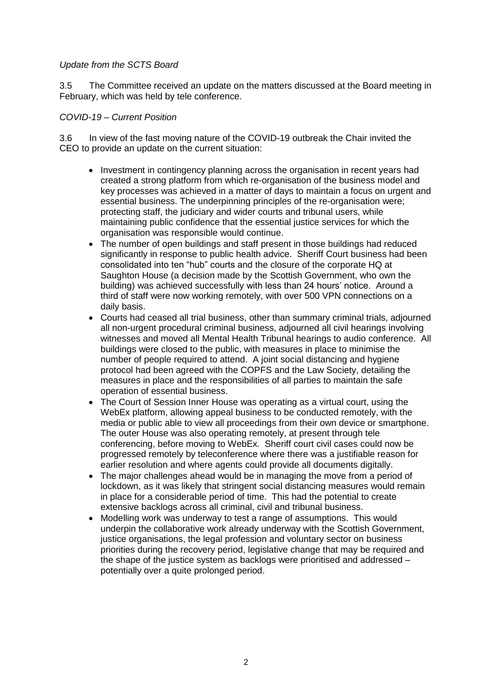### *Update from the SCTS Board*

3.5 The Committee received an update on the matters discussed at the Board meeting in February, which was held by tele conference.

### *COVID-19 – Current Position*

3.6 In view of the fast moving nature of the COVID-19 outbreak the Chair invited the CEO to provide an update on the current situation:

- Investment in contingency planning across the organisation in recent years had created a strong platform from which re-organisation of the business model and key processes was achieved in a matter of days to maintain a focus on urgent and essential business. The underpinning principles of the re-organisation were; protecting staff, the judiciary and wider courts and tribunal users, while maintaining public confidence that the essential justice services for which the organisation was responsible would continue.
- The number of open buildings and staff present in those buildings had reduced significantly in response to public health advice. Sheriff Court business had been consolidated into ten "hub" courts and the closure of the corporate HQ at Saughton House (a decision made by the Scottish Government, who own the building) was achieved successfully with less than 24 hours' notice. Around a third of staff were now working remotely, with over 500 VPN connections on a daily basis.
- Courts had ceased all trial business, other than summary criminal trials, adjourned all non-urgent procedural criminal business, adjourned all civil hearings involving witnesses and moved all Mental Health Tribunal hearings to audio conference. All buildings were closed to the public, with measures in place to minimise the number of people required to attend. A joint social distancing and hygiene protocol had been agreed with the COPFS and the Law Society, detailing the measures in place and the responsibilities of all parties to maintain the safe operation of essential business.
- The Court of Session Inner House was operating as a virtual court, using the WebEx platform, allowing appeal business to be conducted remotely, with the media or public able to view all proceedings from their own device or smartphone. The outer House was also operating remotely, at present through tele conferencing, before moving to WebEx. Sheriff court civil cases could now be progressed remotely by teleconference where there was a justifiable reason for earlier resolution and where agents could provide all documents digitally.
- The major challenges ahead would be in managing the move from a period of lockdown, as it was likely that stringent social distancing measures would remain in place for a considerable period of time. This had the potential to create extensive backlogs across all criminal, civil and tribunal business.
- Modelling work was underway to test a range of assumptions. This would underpin the collaborative work already underway with the Scottish Government, justice organisations, the legal profession and voluntary sector on business priorities during the recovery period, legislative change that may be required and the shape of the justice system as backlogs were prioritised and addressed – potentially over a quite prolonged period.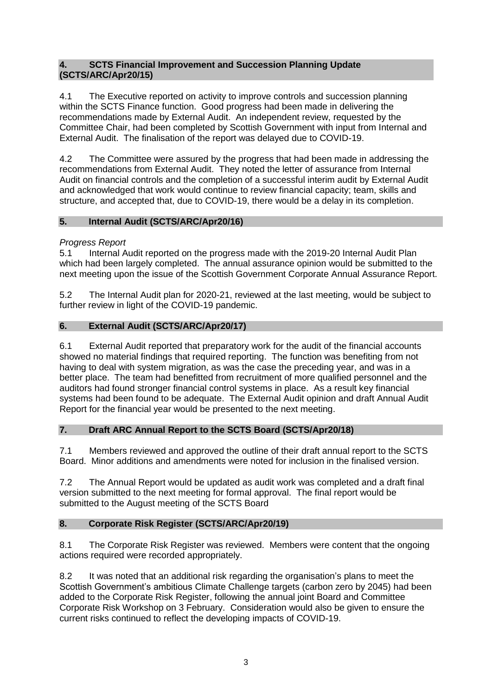## **4. SCTS Financial Improvement and Succession Planning Update (SCTS/ARC/Apr20/15)**

4.1 The Executive reported on activity to improve controls and succession planning within the SCTS Finance function. Good progress had been made in delivering the recommendations made by External Audit. An independent review, requested by the Committee Chair, had been completed by Scottish Government with input from Internal and External Audit. The finalisation of the report was delayed due to COVID-19.

4.2 The Committee were assured by the progress that had been made in addressing the recommendations from External Audit. They noted the letter of assurance from Internal Audit on financial controls and the completion of a successful interim audit by External Audit and acknowledged that work would continue to review financial capacity; team, skills and structure, and accepted that, due to COVID-19, there would be a delay in its completion.

# **5. Internal Audit (SCTS/ARC/Apr20/16)**

# *Progress Report*

5.1 Internal Audit reported on the progress made with the 2019-20 Internal Audit Plan which had been largely completed. The annual assurance opinion would be submitted to the next meeting upon the issue of the Scottish Government Corporate Annual Assurance Report.

5.2 The Internal Audit plan for 2020-21, reviewed at the last meeting, would be subject to further review in light of the COVID-19 pandemic.

# **6. External Audit (SCTS/ARC/Apr20/17)**

6.1 External Audit reported that preparatory work for the audit of the financial accounts showed no material findings that required reporting. The function was benefiting from not having to deal with system migration, as was the case the preceding year, and was in a better place. The team had benefitted from recruitment of more qualified personnel and the auditors had found stronger financial control systems in place. As a result key financial systems had been found to be adequate. The External Audit opinion and draft Annual Audit Report for the financial year would be presented to the next meeting.

# **7. Draft ARC Annual Report to the SCTS Board (SCTS/Apr20/18)**

7.1 Members reviewed and approved the outline of their draft annual report to the SCTS Board. Minor additions and amendments were noted for inclusion in the finalised version.

7.2 The Annual Report would be updated as audit work was completed and a draft final version submitted to the next meeting for formal approval. The final report would be submitted to the August meeting of the SCTS Board

# **8. Corporate Risk Register (SCTS/ARC/Apr20/19)**

8.1 The Corporate Risk Register was reviewed. Members were content that the ongoing actions required were recorded appropriately.

8.2 It was noted that an additional risk regarding the organisation's plans to meet the Scottish Government's ambitious Climate Challenge targets (carbon zero by 2045) had been added to the Corporate Risk Register, following the annual joint Board and Committee Corporate Risk Workshop on 3 February. Consideration would also be given to ensure the current risks continued to reflect the developing impacts of COVID-19.